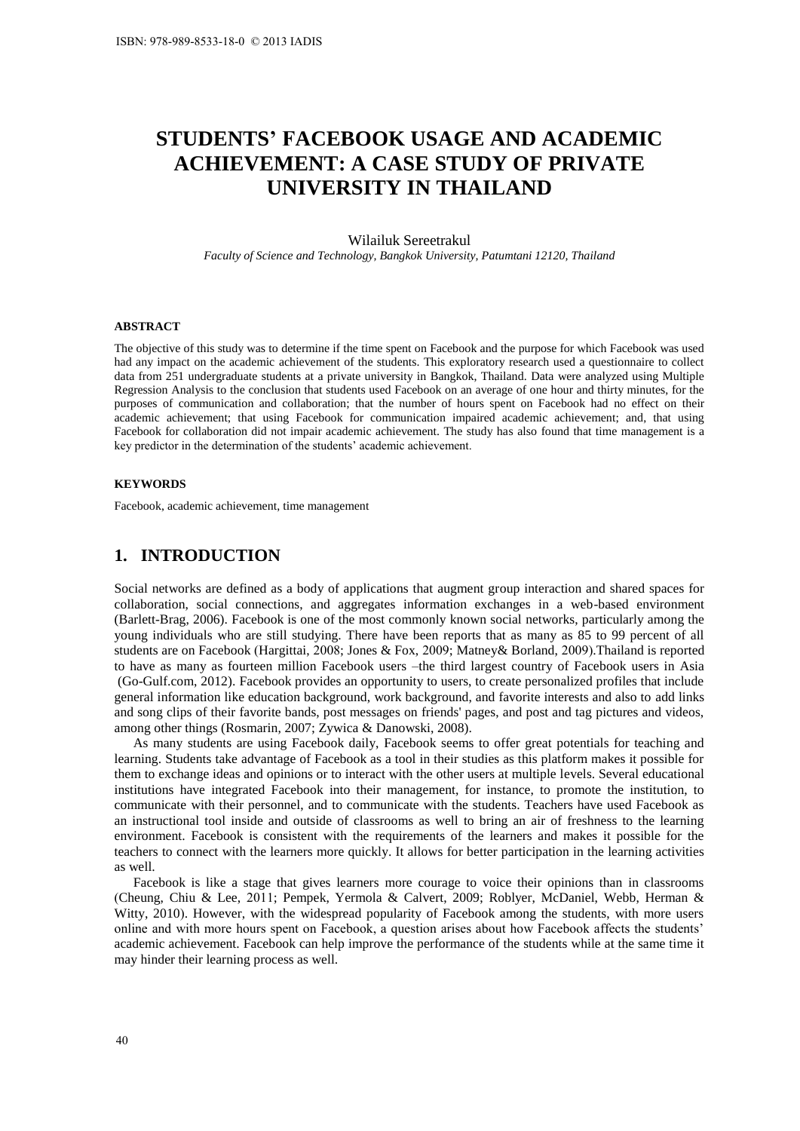# **STUDENTS' FACEBOOK USAGE AND ACADEMIC ACHIEVEMENT: A CASE STUDY OF PRIVATE UNIVERSITY IN THAILAND**

#### Wilailuk Sereetrakul

*Faculty of Science and Technology, Bangkok University, Patumtani 12120, Thailand* 

#### **ABSTRACT**

The objective of this study was to determine if the time spent on Facebook and the purpose for which Facebook was used had any impact on the academic achievement of the students. This exploratory research used a questionnaire to collect data from 251 undergraduate students at a private university in Bangkok, Thailand. Data were analyzed using Multiple Regression Analysis to the conclusion that students used Facebook on an average of one hour and thirty minutes, for the purposes of communication and collaboration; that the number of hours spent on Facebook had no effect on their academic achievement; that using Facebook for communication impaired academic achievement; and, that using Facebook for collaboration did not impair academic achievement. The study has also found that time management is a key predictor in the determination of the students' academic achievement.

#### **KEYWORDS**

Facebook, academic achievement, time management

## **1. INTRODUCTION**

Social networks are defined as a body of applications that augment group interaction and shared spaces for collaboration, social connections, and aggregates information exchanges in a web-based environment (Barlett-Brag, 2006). Facebook is one of the most commonly known social networks, particularly among the young individuals who are still studying. There have been reports that as many as 85 to 99 percent of all students are on Facebook (Hargittai, 2008; Jones & Fox, 2009; Matney& Borland, 2009).Thailand is reported to have as many as fourteen million Facebook users –the third largest country of Facebook users in Asia (Go-Gulf.com, 2012). Facebook provides an opportunity to users, to create personalized profiles that include general information like education background, work background, and favorite interests and also to add links and song clips of their favorite bands, post messages on friends' pages, and post and tag pictures and videos, among other things (Rosmarin, 2007; Zywica & Danowski, 2008).

As many students are using Facebook daily, Facebook seems to offer great potentials for teaching and learning. Students take advantage of Facebook as a tool in their studies as this platform makes it possible for them to exchange ideas and opinions or to interact with the other users at multiple levels. Several educational institutions have integrated Facebook into their management, for instance, to promote the institution, to communicate with their personnel, and to communicate with the students. Teachers have used Facebook as an instructional tool inside and outside of classrooms as well to bring an air of freshness to the learning environment. Facebook is consistent with the requirements of the learners and makes it possible for the teachers to connect with the learners more quickly. It allows for better participation in the learning activities as well.

Facebook is like a stage that gives learners more courage to voice their opinions than in classrooms (Cheung, Chiu & Lee, 2011; Pempek, Yermola & Calvert, 2009; Roblyer, McDaniel, Webb, Herman & Witty, 2010). However, with the widespread popularity of Facebook among the students, with more users online and with more hours spent on Facebook, a question arises about how Facebook affects the students' academic achievement. Facebook can help improve the performance of the students while at the same time it may hinder their learning process as well.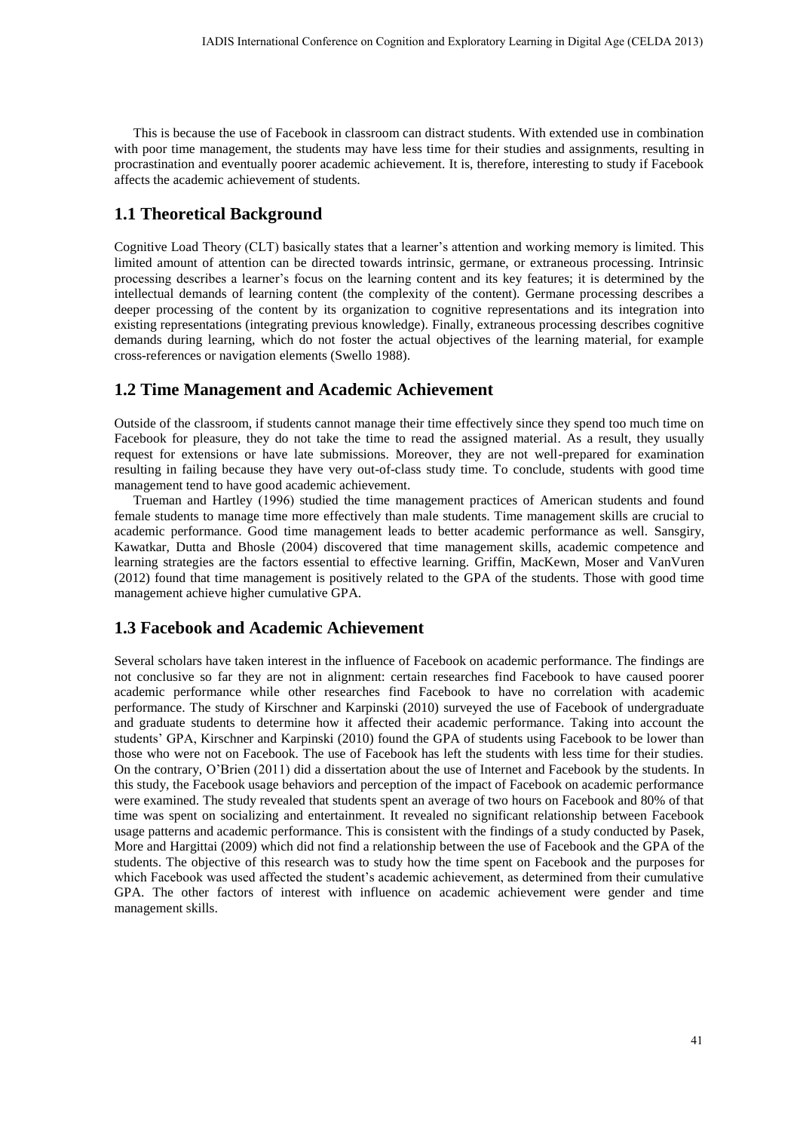This is because the use of Facebook in classroom can distract students. With extended use in combination with poor time management, the students may have less time for their studies and assignments, resulting in procrastination and eventually poorer academic achievement. It is, therefore, interesting to study if Facebook affects the academic achievement of students.

## **1.1 Theoretical Background**

Cognitive Load Theory (CLT) basically states that a learner's attention and working memory is limited. This limited amount of attention can be directed towards intrinsic, germane, or extraneous processing. Intrinsic processing describes a learner's focus on the learning content and its key features; it is determined by the intellectual demands of learning content (the complexity of the content). Germane processing describes a deeper processing of the content by its organization to cognitive representations and its integration into existing representations (integrating previous knowledge). Finally, extraneous processing describes cognitive demands during learning, which do not foster the actual objectives of the learning material, for example cross-references or navigation elements (Swello 1988).

## **1.2 Time Management and Academic Achievement**

Outside of the classroom, if students cannot manage their time effectively since they spend too much time on Facebook for pleasure, they do not take the time to read the assigned material. As a result, they usually request for extensions or have late submissions. Moreover, they are not well-prepared for examination resulting in failing because they have very out-of-class study time. To conclude, students with good time management tend to have good academic achievement.

Trueman and Hartley (1996) studied the time management practices of American students and found female students to manage time more effectively than male students. Time management skills are crucial to academic performance. Good time management leads to better academic performance as well. Sansgiry, Kawatkar, Dutta and Bhosle (2004) discovered that time management skills, academic competence and learning strategies are the factors essential to effective learning. Griffin, MacKewn, Moser and VanVuren (2012) found that time management is positively related to the GPA of the students. Those with good time management achieve higher cumulative GPA.

## **1.3 Facebook and Academic Achievement**

Several scholars have taken interest in the influence of Facebook on academic performance. The findings are not conclusive so far they are not in alignment: certain researches find Facebook to have caused poorer academic performance while other researches find Facebook to have no correlation with academic performance. The study of Kirschner and Karpinski (2010) surveyed the use of Facebook of undergraduate and graduate students to determine how it affected their academic performance. Taking into account the students' GPA, Kirschner and Karpinski (2010) found the GPA of students using Facebook to be lower than those who were not on Facebook. The use of Facebook has left the students with less time for their studies. On the contrary, O'Brien (2011) did a dissertation about the use of Internet and Facebook by the students. In this study, the Facebook usage behaviors and perception of the impact of Facebook on academic performance were examined. The study revealed that students spent an average of two hours on Facebook and 80% of that time was spent on socializing and entertainment. It revealed no significant relationship between Facebook usage patterns and academic performance. This is consistent with the findings of a study conducted by Pasek, More and Hargittai (2009) which did not find a relationship between the use of Facebook and the GPA of the students. The objective of this research was to study how the time spent on Facebook and the purposes for which Facebook was used affected the student's academic achievement, as determined from their cumulative GPA. The other factors of interest with influence on academic achievement were gender and time management skills.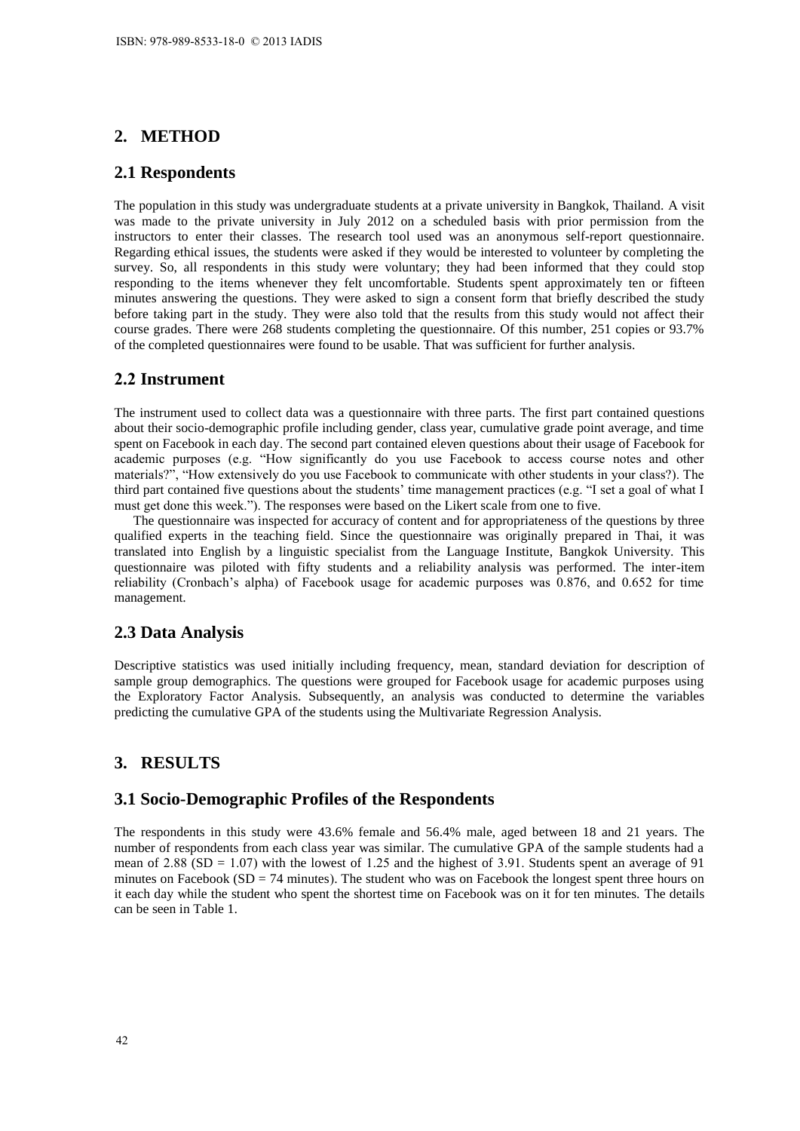## **2. METHOD**

### **2.1 Respondents**

The population in this study was undergraduate students at a private university in Bangkok, Thailand. A visit was made to the private university in July 2012 on a scheduled basis with prior permission from the instructors to enter their classes. The research tool used was an anonymous self-report questionnaire. Regarding ethical issues, the students were asked if they would be interested to volunteer by completing the survey. So, all respondents in this study were voluntary; they had been informed that they could stop responding to the items whenever they felt uncomfortable. Students spent approximately ten or fifteen minutes answering the questions. They were asked to sign a consent form that briefly described the study before taking part in the study. They were also told that the results from this study would not affect their course grades. There were 268 students completing the questionnaire. Of this number, 251 copies or 93.7% of the completed questionnaires were found to be usable. That was sufficient for further analysis.

## **2.2 Instrument**

The instrument used to collect data was a questionnaire with three parts. The first part contained questions about their socio-demographic profile including gender, class year, cumulative grade point average, and time spent on Facebook in each day. The second part contained eleven questions about their usage of Facebook for academic purposes (e.g. "How significantly do you use Facebook to access course notes and other materials?", "How extensively do you use Facebook to communicate with other students in your class?). The third part contained five questions about the students' time management practices (e.g. "I set a goal of what I must get done this week."). The responses were based on the Likert scale from one to five.

The questionnaire was inspected for accuracy of content and for appropriateness of the questions by three qualified experts in the teaching field. Since the questionnaire was originally prepared in Thai, it was translated into English by a linguistic specialist from the Language Institute, Bangkok University. This questionnaire was piloted with fifty students and a reliability analysis was performed. The inter-item reliability (Cronbach's alpha) of Facebook usage for academic purposes was 0.876, and 0.652 for time management.

#### **2.3 Data Analysis**

Descriptive statistics was used initially including frequency, mean, standard deviation for description of sample group demographics. The questions were grouped for Facebook usage for academic purposes using the Exploratory Factor Analysis. Subsequently, an analysis was conducted to determine the variables predicting the cumulative GPA of the students using the Multivariate Regression Analysis.

# **3. RESULTS**

#### **3.1 Socio-Demographic Profiles of the Respondents**

The respondents in this study were 43.6% female and 56.4% male, aged between 18 and 21 years. The number of respondents from each class year was similar. The cumulative GPA of the sample students had a mean of 2.88 (SD = 1.07) with the lowest of 1.25 and the highest of 3.91. Students spent an average of 91 minutes on Facebook  $(SD = 74$  minutes). The student who was on Facebook the longest spent three hours on it each day while the student who spent the shortest time on Facebook was on it for ten minutes. The details can be seen in Table 1.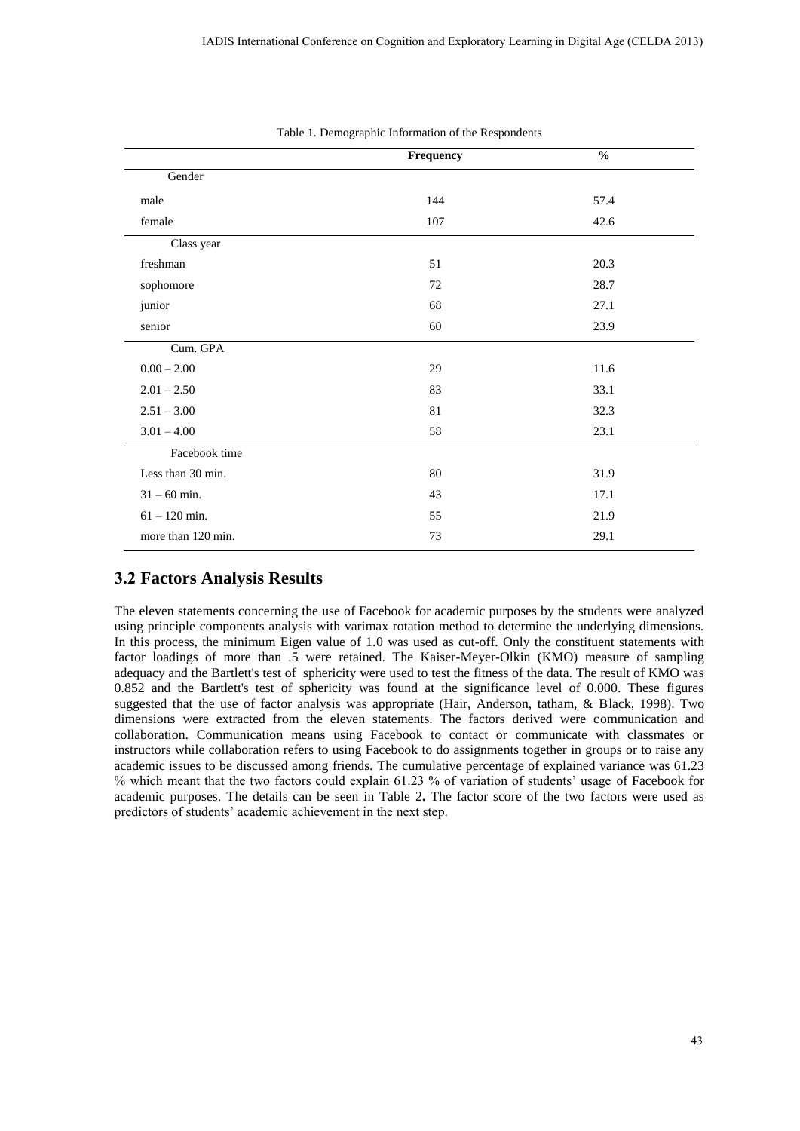|                    | Frequency | $\frac{0}{0}$ |  |
|--------------------|-----------|---------------|--|
| Gender             |           |               |  |
| male               | 144       | 57.4          |  |
| female             | 107       | 42.6          |  |
| Class year         |           |               |  |
| freshman           | 51        | 20.3          |  |
| sophomore          | 72        | 28.7          |  |
| junior             | 68        | 27.1          |  |
| senior             | 60        | 23.9          |  |
| Cum. GPA           |           |               |  |
| $0.00 - 2.00$      | 29        | 11.6          |  |
| $2.01 - 2.50$      | 83        | 33.1          |  |
| $2.51 - 3.00$      | 81        | 32.3          |  |
| $3.01 - 4.00$      | 58        | 23.1          |  |
| Facebook time      |           |               |  |
| Less than 30 min.  | 80        | 31.9          |  |
| $31 - 60$ min.     | 43        | 17.1          |  |
| $61 - 120$ min.    | 55        | 21.9          |  |
| more than 120 min. | 73        | 29.1          |  |

Table 1. Demographic Information of the Respondents

# **3.2 Factors Analysis Results**

The eleven statements concerning the use of Facebook for academic purposes by the students were analyzed using principle components analysis with varimax rotation method to determine the underlying dimensions. In this process, the minimum Eigen value of 1.0 was used as cut-off. Only the constituent statements with factor loadings of more than .5 were retained. The Kaiser-Meyer-Olkin (KMO) measure of sampling adequacy and the Bartlett's test of sphericity were used to test the fitness of the data. The result of KMO was 0.852 and the Bartlett's test of sphericity was found at the significance level of 0.000. These figures suggested that the use of factor analysis was appropriate (Hair, Anderson, tatham, & Black, 1998). Two dimensions were extracted from the eleven statements. The factors derived were communication and collaboration. Communication means using Facebook to contact or communicate with classmates or instructors while collaboration refers to using Facebook to do assignments together in groups or to raise any academic issues to be discussed among friends. The cumulative percentage of explained variance was 61.23 % which meant that the two factors could explain 61.23 % of variation of students' usage of Facebook for academic purposes. The details can be seen in Table 2**.** The factor score of the two factors were used as predictors of students' academic achievement in the next step.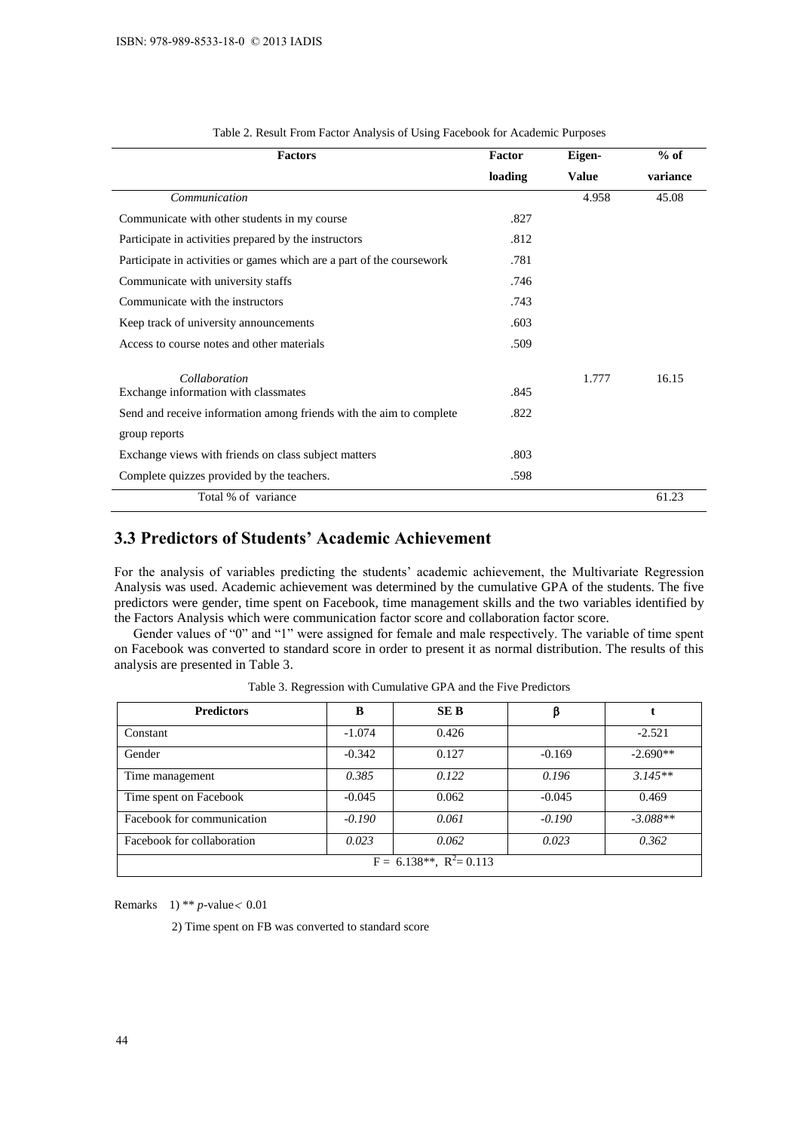| <b>Factors</b>                                                        | Factor  | Eigen-       | $%$ of   |
|-----------------------------------------------------------------------|---------|--------------|----------|
|                                                                       | loading | <b>Value</b> | variance |
| Communication                                                         |         | 4.958        | 45.08    |
| Communicate with other students in my course                          | .827    |              |          |
| Participate in activities prepared by the instructors                 | .812    |              |          |
| Participate in activities or games which are a part of the coursework | .781    |              |          |
| Communicate with university staffs                                    | .746    |              |          |
| Communicate with the instructors                                      | .743    |              |          |
| Keep track of university announcements                                | .603    |              |          |
| Access to course notes and other materials                            | .509    |              |          |
|                                                                       |         |              |          |
| Collaboration<br>Exchange information with classmates                 | .845    | 1.777        | 16.15    |
| Send and receive information among friends with the aim to complete   | .822    |              |          |
| group reports                                                         |         |              |          |
| Exchange views with friends on class subject matters                  | .803    |              |          |
| Complete quizzes provided by the teachers.                            | .598    |              |          |
| Total % of variance                                                   |         |              |          |
|                                                                       |         |              | 61.23    |

Table 2. Result From Factor Analysis of Using Facebook for Academic Purposes

# **3.3 Predictors of Students' Academic Achievement**

For the analysis of variables predicting the students' academic achievement, the Multivariate Regression Analysis was used. Academic achievement was determined by the cumulative GPA of the students. The five predictors were gender, time spent on Facebook, time management skills and the two variables identified by the Factors Analysis which were communication factor score and collaboration factor score.

Gender values of "0" and "1" were assigned for female and male respectively. The variable of time spent on Facebook was converted to standard score in order to present it as normal distribution. The results of this analysis are presented in Table 3.

| <b>Predictors</b>             | B        | <b>SEB</b> | β        |            |  |
|-------------------------------|----------|------------|----------|------------|--|
| Constant                      | $-1.074$ | 0.426      |          | $-2.521$   |  |
| Gender                        | $-0.342$ | 0.127      | $-0.169$ | $-2.690**$ |  |
| Time management               | 0.385    | 0.122      | 0.196    | $3.145**$  |  |
| Time spent on Facebook        | $-0.045$ | 0.062      | $-0.045$ | 0.469      |  |
| Facebook for communication    | $-0.190$ | 0.061      | $-0.190$ | $-3.088**$ |  |
| Facebook for collaboration    | 0.023    | 0.062      | 0.023    | 0.362      |  |
| $F = 6.138**$ , $R^2 = 0.113$ |          |            |          |            |  |

Table 3. Regression with Cumulative GPA and the Five Predictors

Remarks 1) \*\*  $p$ -value < 0.01

2) Time spent on FB was converted to standard score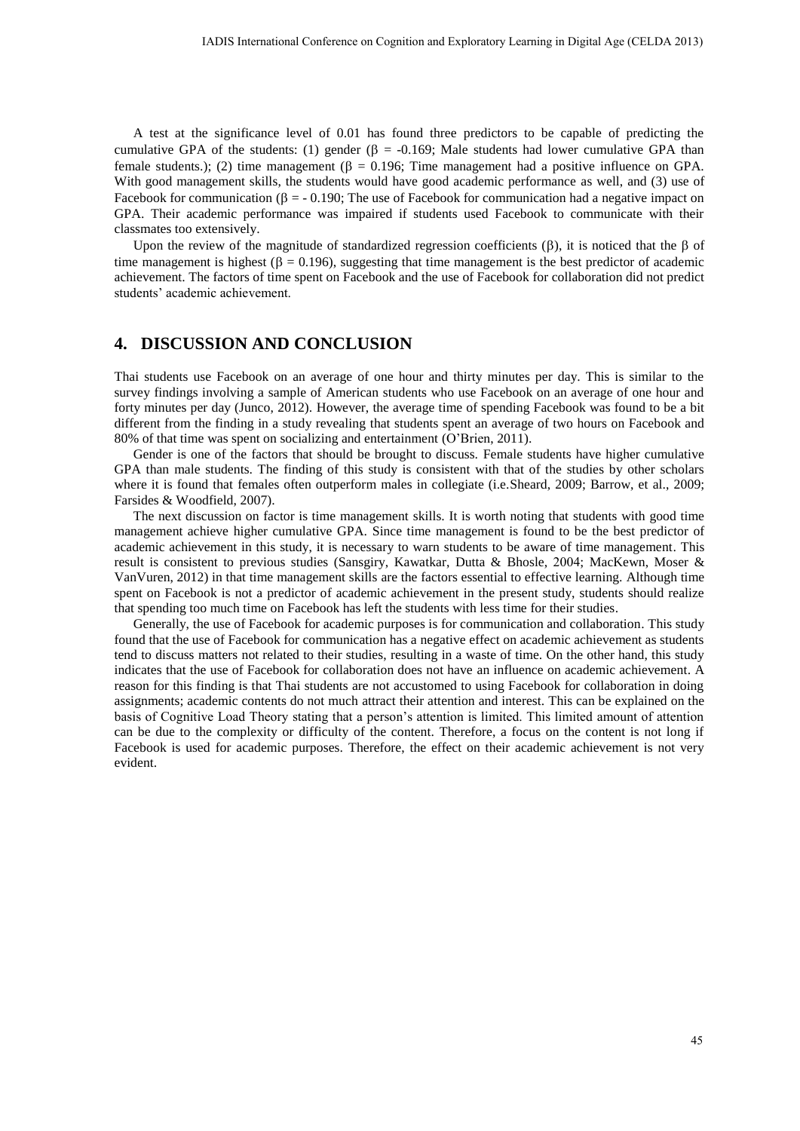A test at the significance level of 0.01 has found three predictors to be capable of predicting the cumulative GPA of the students: (1) gender ( $\beta$  = -0.169; Male students had lower cumulative GPA than female students.); (2) time management ( $\beta = 0.196$ ; Time management had a positive influence on GPA. With good management skills, the students would have good academic performance as well, and (3) use of Facebook for communication ( $\beta$  = -0.190; The use of Facebook for communication had a negative impact on GPA. Their academic performance was impaired if students used Facebook to communicate with their classmates too extensively.

Upon the review of the magnitude of standardized regression coefficients  $(\beta)$ , it is noticed that the  $\beta$  of time management is highest ( $\beta = 0.196$ ), suggesting that time management is the best predictor of academic achievement. The factors of time spent on Facebook and the use of Facebook for collaboration did not predict students' academic achievement.

## **4. DISCUSSION AND CONCLUSION**

Thai students use Facebook on an average of one hour and thirty minutes per day. This is similar to the survey findings involving a sample of American students who use Facebook on an average of one hour and forty minutes per day (Junco, 2012). However, the average time of spending Facebook was found to be a bit different from the finding in a study revealing that students spent an average of two hours on Facebook and 80% of that time was spent on socializing and entertainment (O'Brien, 2011).

Gender is one of the factors that should be brought to discuss. Female students have higher cumulative GPA than male students. The finding of this study is consistent with that of the studies by other scholars where it is found that females often outperform males in collegiate (i.e. Sheard, 2009; Barrow, et al., 2009; Farsides & Woodfield, 2007).

The next discussion on factor is time management skills. It is worth noting that students with good time management achieve higher cumulative GPA. Since time management is found to be the best predictor of academic achievement in this study, it is necessary to warn students to be aware of time management. This result is consistent to previous studies (Sansgiry, Kawatkar, Dutta & Bhosle, 2004; MacKewn, Moser & VanVuren, 2012) in that time management skills are the factors essential to effective learning. Although time spent on Facebook is not a predictor of academic achievement in the present study, students should realize that spending too much time on Facebook has left the students with less time for their studies.

Generally, the use of Facebook for academic purposes is for communication and collaboration. This study found that the use of Facebook for communication has a negative effect on academic achievement as students tend to discuss matters not related to their studies, resulting in a waste of time. On the other hand, this study indicates that the use of Facebook for collaboration does not have an influence on academic achievement. A reason for this finding is that Thai students are not accustomed to using Facebook for collaboration in doing assignments; academic contents do not much attract their attention and interest. This can be explained on the basis of Cognitive Load Theory stating that a person's attention is limited. This limited amount of attention can be due to the complexity or difficulty of the content. Therefore, a focus on the content is not long if Facebook is used for academic purposes. Therefore, the effect on their academic achievement is not very evident.